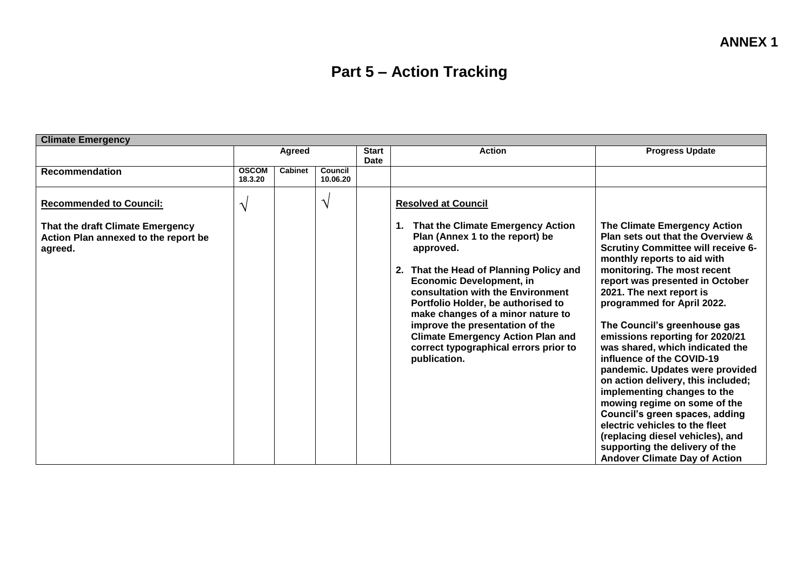## **Part 5 – Action Tracking**

| <b>Climate Emergency</b>                                                                                              |                         |                |                             |               |                                                                                                                                                                                                                                                                                                                                                                                                                                                       |                                                                                                                                                                                                                                                                                                                                                                                                                                                                                                                                                                                                                                                                                                                                        |
|-----------------------------------------------------------------------------------------------------------------------|-------------------------|----------------|-----------------------------|---------------|-------------------------------------------------------------------------------------------------------------------------------------------------------------------------------------------------------------------------------------------------------------------------------------------------------------------------------------------------------------------------------------------------------------------------------------------------------|----------------------------------------------------------------------------------------------------------------------------------------------------------------------------------------------------------------------------------------------------------------------------------------------------------------------------------------------------------------------------------------------------------------------------------------------------------------------------------------------------------------------------------------------------------------------------------------------------------------------------------------------------------------------------------------------------------------------------------------|
|                                                                                                                       | Agreed                  |                | <b>Start</b><br><b>Date</b> | <b>Action</b> | <b>Progress Update</b>                                                                                                                                                                                                                                                                                                                                                                                                                                |                                                                                                                                                                                                                                                                                                                                                                                                                                                                                                                                                                                                                                                                                                                                        |
| <b>Recommendation</b>                                                                                                 | <b>OSCOM</b><br>18.3.20 | <b>Cabinet</b> | Council<br>10.06.20         |               |                                                                                                                                                                                                                                                                                                                                                                                                                                                       |                                                                                                                                                                                                                                                                                                                                                                                                                                                                                                                                                                                                                                                                                                                                        |
| <b>Recommended to Council:</b><br>That the draft Climate Emergency<br>Action Plan annexed to the report be<br>agreed. | ٦                       |                | $\gamma$                    |               | <b>Resolved at Council</b><br>That the Climate Emergency Action<br>Plan (Annex 1 to the report) be<br>approved.<br>2. That the Head of Planning Policy and<br><b>Economic Development, in</b><br>consultation with the Environment<br>Portfolio Holder, be authorised to<br>make changes of a minor nature to<br>improve the presentation of the<br><b>Climate Emergency Action Plan and</b><br>correct typographical errors prior to<br>publication. | The Climate Emergency Action<br>Plan sets out that the Overview &<br><b>Scrutiny Committee will receive 6-</b><br>monthly reports to aid with<br>monitoring. The most recent<br>report was presented in October<br>2021. The next report is<br>programmed for April 2022.<br>The Council's greenhouse gas<br>emissions reporting for 2020/21<br>was shared, which indicated the<br>influence of the COVID-19<br>pandemic. Updates were provided<br>on action delivery, this included;<br>implementing changes to the<br>mowing regime on some of the<br>Council's green spaces, adding<br>electric vehicles to the fleet<br>(replacing diesel vehicles), and<br>supporting the delivery of the<br><b>Andover Climate Day of Action</b> |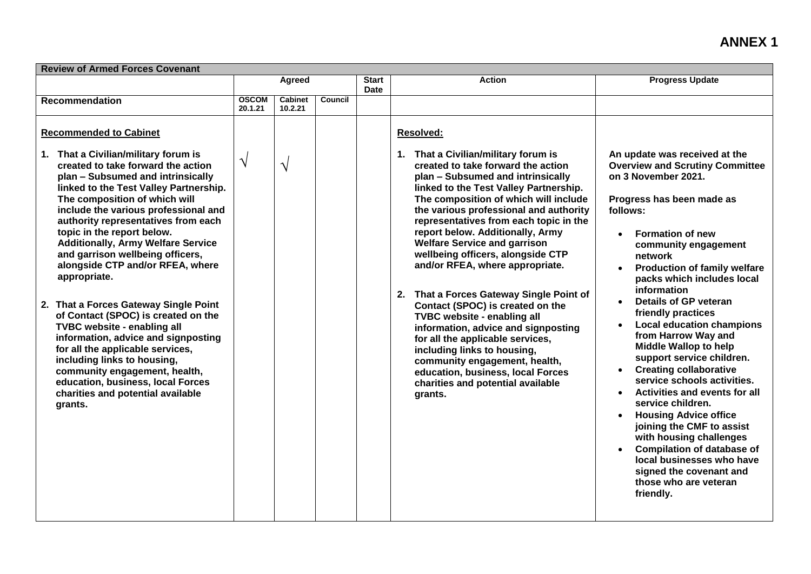## **ANNEX 1**

| <b>Review of Armed Forces Covenant</b>                                                                                                                                                                                                                                                                                                                                                                                                                                                                                                                                                                                                                                                                                                                                                                                       |                         |                           |                |                             |                                                                                                                                                                                                                                                                                                                                                                                                                                                                                                                                                                                                                                                                                                                                                                                                              |                                                                                                                                                                                                                                                                                                                                                                                                                                                                                                                                                                                                                                                                                                                                                                                                                                                                                           |  |  |
|------------------------------------------------------------------------------------------------------------------------------------------------------------------------------------------------------------------------------------------------------------------------------------------------------------------------------------------------------------------------------------------------------------------------------------------------------------------------------------------------------------------------------------------------------------------------------------------------------------------------------------------------------------------------------------------------------------------------------------------------------------------------------------------------------------------------------|-------------------------|---------------------------|----------------|-----------------------------|--------------------------------------------------------------------------------------------------------------------------------------------------------------------------------------------------------------------------------------------------------------------------------------------------------------------------------------------------------------------------------------------------------------------------------------------------------------------------------------------------------------------------------------------------------------------------------------------------------------------------------------------------------------------------------------------------------------------------------------------------------------------------------------------------------------|-------------------------------------------------------------------------------------------------------------------------------------------------------------------------------------------------------------------------------------------------------------------------------------------------------------------------------------------------------------------------------------------------------------------------------------------------------------------------------------------------------------------------------------------------------------------------------------------------------------------------------------------------------------------------------------------------------------------------------------------------------------------------------------------------------------------------------------------------------------------------------------------|--|--|
|                                                                                                                                                                                                                                                                                                                                                                                                                                                                                                                                                                                                                                                                                                                                                                                                                              | Agreed                  |                           |                | <b>Start</b><br><b>Date</b> | <b>Action</b>                                                                                                                                                                                                                                                                                                                                                                                                                                                                                                                                                                                                                                                                                                                                                                                                | <b>Progress Update</b>                                                                                                                                                                                                                                                                                                                                                                                                                                                                                                                                                                                                                                                                                                                                                                                                                                                                    |  |  |
| Recommendation                                                                                                                                                                                                                                                                                                                                                                                                                                                                                                                                                                                                                                                                                                                                                                                                               | <b>OSCOM</b><br>20.1.21 | <b>Cabinet</b><br>10.2.21 | <b>Council</b> |                             |                                                                                                                                                                                                                                                                                                                                                                                                                                                                                                                                                                                                                                                                                                                                                                                                              |                                                                                                                                                                                                                                                                                                                                                                                                                                                                                                                                                                                                                                                                                                                                                                                                                                                                                           |  |  |
| <b>Recommended to Cabinet</b><br>1. That a Civilian/military forum is<br>created to take forward the action<br>plan - Subsumed and intrinsically<br>linked to the Test Valley Partnership.<br>The composition of which will<br>include the various professional and<br>authority representatives from each<br>topic in the report below.<br><b>Additionally, Army Welfare Service</b><br>and garrison wellbeing officers,<br>alongside CTP and/or RFEA, where<br>appropriate.<br>2. That a Forces Gateway Single Point<br>of Contact (SPOC) is created on the<br>TVBC website - enabling all<br>information, advice and signposting<br>for all the applicable services,<br>including links to housing,<br>community engagement, health,<br>education, business, local Forces<br>charities and potential available<br>grants. | $\sqrt{}$               | $\gamma$                  |                |                             | <b>Resolved:</b><br>1. That a Civilian/military forum is<br>created to take forward the action<br>plan - Subsumed and intrinsically<br>linked to the Test Valley Partnership.<br>The composition of which will include<br>the various professional and authority<br>representatives from each topic in the<br>report below. Additionally, Army<br><b>Welfare Service and garrison</b><br>wellbeing officers, alongside CTP<br>and/or RFEA, where appropriate.<br>2. That a Forces Gateway Single Point of<br>Contact (SPOC) is created on the<br>TVBC website - enabling all<br>information, advice and signposting<br>for all the applicable services,<br>including links to housing,<br>community engagement, health,<br>education, business, local Forces<br>charities and potential available<br>grants. | An update was received at the<br><b>Overview and Scrutiny Committee</b><br>on 3 November 2021.<br>Progress has been made as<br>follows:<br><b>Formation of new</b><br>community engagement<br>network<br><b>Production of family welfare</b><br>$\bullet$<br>packs which includes local<br>information<br><b>Details of GP veteran</b><br>$\bullet$<br>friendly practices<br><b>Local education champions</b><br>$\bullet$<br>from Harrow Way and<br><b>Middle Wallop to help</b><br>support service children.<br><b>Creating collaborative</b><br>$\bullet$<br>service schools activities.<br>Activities and events for all<br>service children.<br><b>Housing Advice office</b><br>$\bullet$<br>joining the CMF to assist<br>with housing challenges<br><b>Compilation of database of</b><br>local businesses who have<br>signed the covenant and<br>those who are veteran<br>friendly. |  |  |